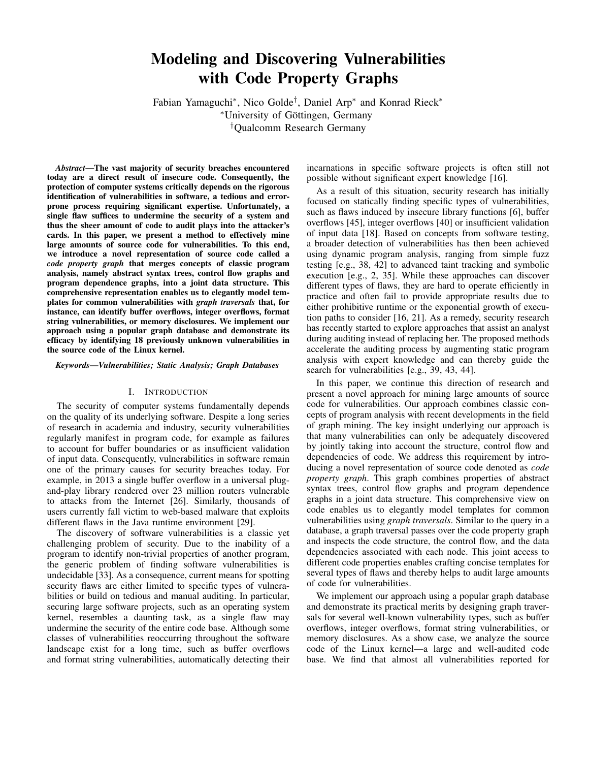# Modeling and Discovering Vulnerabilities with Code Property Graphs

Fabian Yamaguchi<sup>∗</sup> , Nico Golde† , Daniel Arp<sup>∗</sup> and Konrad Rieck<sup>∗</sup> <sup>∗</sup>University of Gottingen, Germany ¨ †Qualcomm Research Germany

*Abstract*—The vast majority of security breaches encountered today are a direct result of insecure code. Consequently, the protection of computer systems critically depends on the rigorous identification of vulnerabilities in software, a tedious and errorprone process requiring significant expertise. Unfortunately, a single flaw suffices to undermine the security of a system and thus the sheer amount of code to audit plays into the attacker's cards. In this paper, we present a method to effectively mine large amounts of source code for vulnerabilities. To this end, we introduce a novel representation of source code called a *code property graph* that merges concepts of classic program analysis, namely abstract syntax trees, control flow graphs and program dependence graphs, into a joint data structure. This comprehensive representation enables us to elegantly model templates for common vulnerabilities with *graph traversals* that, for instance, can identify buffer overflows, integer overflows, format string vulnerabilities, or memory disclosures. We implement our approach using a popular graph database and demonstrate its efficacy by identifying 18 previously unknown vulnerabilities in the source code of the Linux kernel.

*Keywords*—*Vulnerabilities; Static Analysis; Graph Databases*

## I. INTRODUCTION

The security of computer systems fundamentally depends on the quality of its underlying software. Despite a long series of research in academia and industry, security vulnerabilities regularly manifest in program code, for example as failures to account for buffer boundaries or as insufficient validation of input data. Consequently, vulnerabilities in software remain one of the primary causes for security breaches today. For example, in 2013 a single buffer overflow in a universal plugand-play library rendered over 23 million routers vulnerable to attacks from the Internet [26]. Similarly, thousands of users currently fall victim to web-based malware that exploits different flaws in the Java runtime environment [29].

The discovery of software vulnerabilities is a classic yet challenging problem of security. Due to the inability of a program to identify non-trivial properties of another program, the generic problem of finding software vulnerabilities is undecidable [33]. As a consequence, current means for spotting security flaws are either limited to specific types of vulnerabilities or build on tedious and manual auditing. In particular, securing large software projects, such as an operating system kernel, resembles a daunting task, as a single flaw may undermine the security of the entire code base. Although some classes of vulnerabilities reoccurring throughout the software landscape exist for a long time, such as buffer overflows and format string vulnerabilities, automatically detecting their incarnations in specific software projects is often still not possible without significant expert knowledge [16].

As a result of this situation, security research has initially focused on statically finding specific types of vulnerabilities, such as flaws induced by insecure library functions [6], buffer overflows [45], integer overflows [40] or insufficient validation of input data [18]. Based on concepts from software testing, a broader detection of vulnerabilities has then been achieved using dynamic program analysis, ranging from simple fuzz testing [e.g., 38, 42] to advanced taint tracking and symbolic execution [e.g., 2, 35]. While these approaches can discover different types of flaws, they are hard to operate efficiently in practice and often fail to provide appropriate results due to either prohibitive runtime or the exponential growth of execution paths to consider [16, 21]. As a remedy, security research has recently started to explore approaches that assist an analyst during auditing instead of replacing her. The proposed methods accelerate the auditing process by augmenting static program analysis with expert knowledge and can thereby guide the search for vulnerabilities [e.g., 39, 43, 44].

In this paper, we continue this direction of research and present a novel approach for mining large amounts of source code for vulnerabilities. Our approach combines classic concepts of program analysis with recent developments in the field of graph mining. The key insight underlying our approach is that many vulnerabilities can only be adequately discovered by jointly taking into account the structure, control flow and dependencies of code. We address this requirement by introducing a novel representation of source code denoted as *code property graph*. This graph combines properties of abstract syntax trees, control flow graphs and program dependence graphs in a joint data structure. This comprehensive view on code enables us to elegantly model templates for common vulnerabilities using *graph traversals*. Similar to the query in a database, a graph traversal passes over the code property graph and inspects the code structure, the control flow, and the data dependencies associated with each node. This joint access to different code properties enables crafting concise templates for several types of flaws and thereby helps to audit large amounts of code for vulnerabilities.

We implement our approach using a popular graph database and demonstrate its practical merits by designing graph traversals for several well-known vulnerability types, such as buffer overflows, integer overflows, format string vulnerabilities, or memory disclosures. As a show case, we analyze the source code of the Linux kernel—a large and well-audited code base. We find that almost all vulnerabilities reported for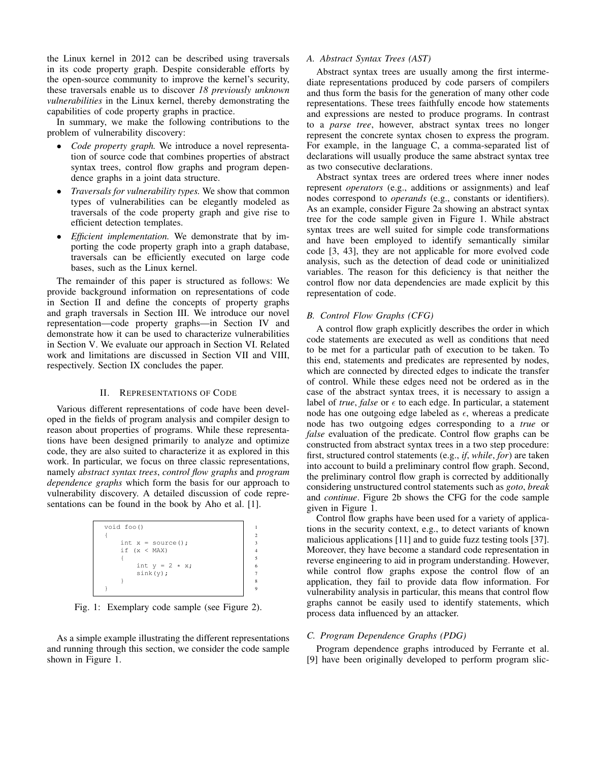the Linux kernel in 2012 can be described using traversals in its code property graph. Despite considerable efforts by the open-source community to improve the kernel's security, these traversals enable us to discover *18 previously unknown vulnerabilities* in the Linux kernel, thereby demonstrating the capabilities of code property graphs in practice.

In summary, we make the following contributions to the problem of vulnerability discovery:

- *Code property graph.* We introduce a novel representation of source code that combines properties of abstract syntax trees, control flow graphs and program dependence graphs in a joint data structure.
- *Traversals for vulnerability types.* We show that common types of vulnerabilities can be elegantly modeled as traversals of the code property graph and give rise to efficient detection templates.
- *Efficient implementation.* We demonstrate that by importing the code property graph into a graph database, traversals can be efficiently executed on large code bases, such as the Linux kernel.

The remainder of this paper is structured as follows: We provide background information on representations of code in Section II and define the concepts of property graphs and graph traversals in Section III. We introduce our novel representation—code property graphs—in Section IV and demonstrate how it can be used to characterize vulnerabilities in Section V. We evaluate our approach in Section VI. Related work and limitations are discussed in Section VII and VIII, respectively. Section IX concludes the paper.

#### II. REPRESENTATIONS OF CODE

Various different representations of code have been developed in the fields of program analysis and compiler design to reason about properties of programs. While these representations have been designed primarily to analyze and optimize code, they are also suited to characterize it as explored in this work. In particular, we focus on three classic representations, namely *abstract syntax trees*, *control flow graphs* and *program dependence graphs* which form the basis for our approach to vulnerability discovery. A detailed discussion of code representations can be found in the book by Aho et al. [1].

| void foo()             | 1                       |
|------------------------|-------------------------|
|                        | $\mathfrak{D}$          |
| int $x = source()$ ;   | $\overline{\mathbf{3}}$ |
| if $(x < MAX)$         |                         |
|                        | $\overline{5}$          |
| int $y = 2 \times x$ ; | 6                       |
| sink(y);               |                         |
|                        | 8                       |
|                        | q                       |
|                        |                         |

Fig. 1: Exemplary code sample (see Figure 2).

As a simple example illustrating the different representations and running through this section, we consider the code sample shown in Figure 1.

## *A. Abstract Syntax Trees (AST)*

Abstract syntax trees are usually among the first intermediate representations produced by code parsers of compilers and thus form the basis for the generation of many other code representations. These trees faithfully encode how statements and expressions are nested to produce programs. In contrast to a *parse tree*, however, abstract syntax trees no longer represent the concrete syntax chosen to express the program. For example, in the language C, a comma-separated list of declarations will usually produce the same abstract syntax tree as two consecutive declarations.

Abstract syntax trees are ordered trees where inner nodes represent *operators* (e.g., additions or assignments) and leaf nodes correspond to *operands* (e.g., constants or identifiers). As an example, consider Figure 2a showing an abstract syntax tree for the code sample given in Figure 1. While abstract syntax trees are well suited for simple code transformations and have been employed to identify semantically similar code [3, 43], they are not applicable for more evolved code analysis, such as the detection of dead code or uninitialized variables. The reason for this deficiency is that neither the control flow nor data dependencies are made explicit by this representation of code.

## *B. Control Flow Graphs (CFG)*

A control flow graph explicitly describes the order in which code statements are executed as well as conditions that need to be met for a particular path of execution to be taken. To this end, statements and predicates are represented by nodes, which are connected by directed edges to indicate the transfer of control. While these edges need not be ordered as in the case of the abstract syntax trees, it is necessary to assign a label of *true*, *false* or  $\epsilon$  to each edge. In particular, a statement node has one outgoing edge labeled as  $\epsilon$ , whereas a predicate node has two outgoing edges corresponding to a *true* or *false* evaluation of the predicate. Control flow graphs can be constructed from abstract syntax trees in a two step procedure: first, structured control statements (e.g., *if*, *while*, *for*) are taken into account to build a preliminary control flow graph. Second, the preliminary control flow graph is corrected by additionally considering unstructured control statements such as *goto*, *break* and *continue*. Figure 2b shows the CFG for the code sample given in Figure 1.

Control flow graphs have been used for a variety of applications in the security context, e.g., to detect variants of known malicious applications [11] and to guide fuzz testing tools [37]. Moreover, they have become a standard code representation in reverse engineering to aid in program understanding. However, while control flow graphs expose the control flow of an application, they fail to provide data flow information. For vulnerability analysis in particular, this means that control flow graphs cannot be easily used to identify statements, which process data influenced by an attacker.

## *C. Program Dependence Graphs (PDG)*

Program dependence graphs introduced by Ferrante et al. [9] have been originally developed to perform program slic-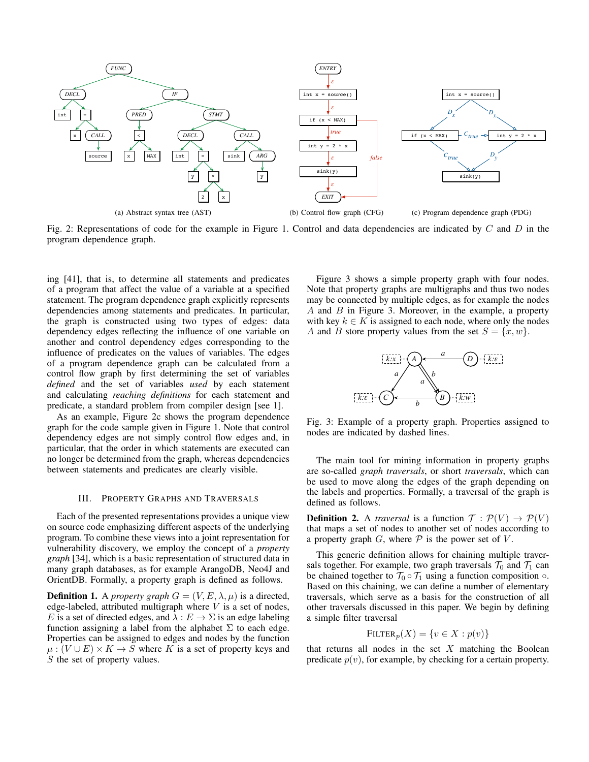

Fig. 2: Representations of code for the example in Figure 1. Control and data dependencies are indicated by  $C$  and  $D$  in the program dependence graph.

ing [41], that is, to determine all statements and predicates of a program that affect the value of a variable at a specified statement. The program dependence graph explicitly represents dependencies among statements and predicates. In particular, the graph is constructed using two types of edges: data dependency edges reflecting the influence of one variable on another and control dependency edges corresponding to the influence of predicates on the values of variables. The edges of a program dependence graph can be calculated from a control flow graph by first determining the set of variables *defined* and the set of variables *used* by each statement and calculating *reaching definitions* for each statement and predicate, a standard problem from compiler design [see 1].

As an example, Figure 2c shows the program dependence graph for the code sample given in Figure 1. Note that control dependency edges are not simply control flow edges and, in particular, that the order in which statements are executed can no longer be determined from the graph, whereas dependencies between statements and predicates are clearly visible.

### III. PROPERTY GRAPHS AND TRAVERSALS

Each of the presented representations provides a unique view on source code emphasizing different aspects of the underlying program. To combine these views into a joint representation for vulnerability discovery, we employ the concept of a *property graph* [34], which is a basic representation of structured data in many graph databases, as for example ArangoDB, Neo4J and OrientDB. Formally, a property graph is defined as follows.

**Definition 1.** A *property graph*  $G = (V, E, \lambda, \mu)$  is a directed, edge-labeled, attributed multigraph where  $V$  is a set of nodes, E is a set of directed edges, and  $\lambda : E \to \Sigma$  is an edge labeling function assigning a label from the alphabet  $\Sigma$  to each edge. Properties can be assigned to edges and nodes by the function  $\mu : (V \cup E) \times K \to S$  where K is a set of property keys and S the set of property values.

Figure 3 shows a simple property graph with four nodes. Note that property graphs are multigraphs and thus two nodes may be connected by multiple edges, as for example the nodes  $A$  and  $B$  in Figure 3. Moreover, in the example, a property with key  $k \in K$  is assigned to each node, where only the nodes A and B store property values from the set  $S = \{x, w\}.$ 



Fig. 3: Example of a property graph. Properties assigned to nodes are indicated by dashed lines.

The main tool for mining information in property graphs are so-called *graph traversals*, or short *traversals*, which can be used to move along the edges of the graph depending on the labels and properties. Formally, a traversal of the graph is defined as follows.

**Definition 2.** A *traversal* is a function  $\mathcal{T} : \mathcal{P}(V) \to \mathcal{P}(V)$ that maps a set of nodes to another set of nodes according to a property graph  $G$ , where  $P$  is the power set of  $V$ .

This generic definition allows for chaining multiple traversals together. For example, two graph traversals  $\mathcal{T}_0$  and  $\mathcal{T}_1$  can be chained together to  $\mathcal{T}_0 \circ \mathcal{T}_1$  using a function composition  $\circ$ . Based on this chaining, we can define a number of elementary traversals, which serve as a basis for the construction of all other traversals discussed in this paper. We begin by defining a simple filter traversal

$$
\text{Filter}_p(X) = \{v \in X : p(v)\}
$$

that returns all nodes in the set  $X$  matching the Boolean predicate  $p(v)$ , for example, by checking for a certain property.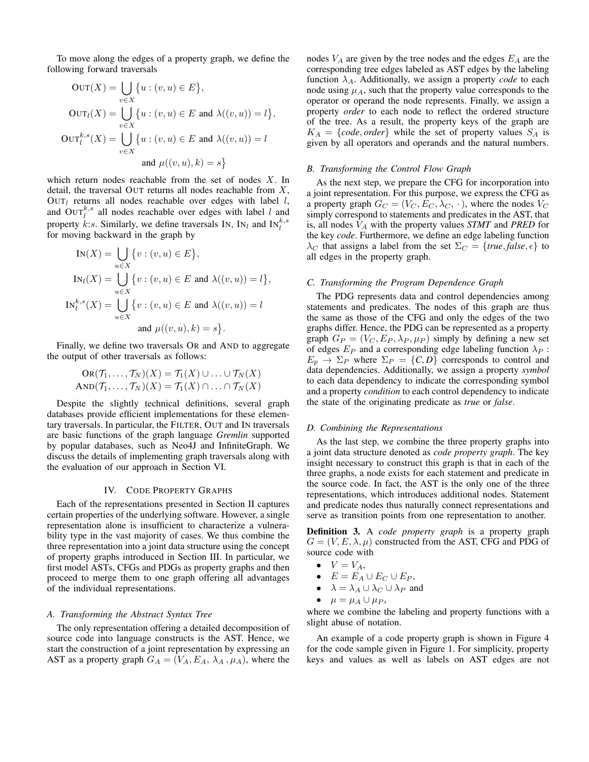To move along the edges of a property graph, we define the following forward traversals

$$
OUT(X) = \bigcup_{v \in X} \{u : (v, u) \in E\},
$$
  
\n
$$
OUT_l(X) = \bigcup_{v \in X} \{u : (v, u) \in E \text{ and } \lambda((v, u)) = l\},
$$
  
\n
$$
OUT_l^{k,s}(X) = \bigcup_{v \in X} \{u : (v, u) \in E \text{ and } \lambda((v, u)) = l
$$
  
\nand  $\mu((v, u), k) = s\}$ 

which return nodes reachable from the set of nodes  $X$ . In detail, the traversal OUT returns all nodes reachable from  $X$ ,  $\text{OUT}_l$  returns all nodes reachable over edges with label l, and  $\text{OUT}_l^{k,s}$  all nodes reachable over edges with label l and property k:s. Similarly, we define traversals IN, IN<sub>l</sub> and  $IN_i^{k,s}$ for moving backward in the graph by

$$
In(X) = \bigcup_{u \in X} \{v : (v, u) \in E\},
$$
  
\n
$$
In_l(X) = \bigcup_{u \in X} \{v : (v, u) \in E \text{ and } \lambda((v, u)) = l\},
$$
  
\n
$$
In_l^{k,s}(X) = \bigcup_{u \in X} \{v : (v, u) \in E \text{ and } \lambda((v, u)) = l\}
$$
  
\nand  $\mu((v, u), k) = s\}.$ 

Finally, we define two traversals OR and AND to aggregate the output of other traversals as follows:

$$
OR(\mathcal{T}_1, ..., \mathcal{T}_N)(X) = \mathcal{T}_1(X) \cup ... \cup \mathcal{T}_N(X)
$$
  
AND( $\mathcal{T}_1, ..., \mathcal{T}_N$ )(X) =  $\mathcal{T}_1(X) \cap ... \cap \mathcal{T}_N(X)$ 

Despite the slightly technical definitions, several graph databases provide efficient implementations for these elementary traversals. In particular, the FILTER, OUT and IN traversals are basic functions of the graph language *Gremlin* supported by popular databases, such as Neo4J and InfiniteGraph. We discuss the details of implementing graph traversals along with the evaluation of our approach in Section VI.

#### IV. CODE PROPERTY GRAPHS

Each of the representations presented in Section II captures certain properties of the underlying software. However, a single representation alone is insufficient to characterize a vulnerability type in the vast majority of cases. We thus combine the three representation into a joint data structure using the concept of property graphs introduced in Section III. In particular, we first model ASTs, CFGs and PDGs as property graphs and then proceed to merge them to one graph offering all advantages of the individual representations.

## *A. Transforming the Abstract Syntax Tree*

The only representation offering a detailed decomposition of source code into language constructs is the AST. Hence, we start the construction of a joint representation by expressing an AST as a property graph  $G_A = (V_A, E_A, \lambda_A, \mu_A)$ , where the

nodes  $V_A$  are given by the tree nodes and the edges  $E_A$  are the corresponding tree edges labeled as AST edges by the labeling function  $\lambda_A$ . Additionally, we assign a property *code* to each node using  $\mu_A$ , such that the property value corresponds to the operator or operand the node represents. Finally, we assign a property *order* to each node to reflect the ordered structure of the tree. As a result, the property keys of the graph are  $K_A = \{code, order\}$  while the set of property values  $S_A$  is given by all operators and operands and the natural numbers.

#### *B. Transforming the Control Flow Graph*

As the next step, we prepare the CFG for incorporation into a joint representation. For this purpose, we express the CFG as a property graph  $G_C = (V_C, E_C, \lambda_C, \cdot)$ , where the nodes  $V_C$ simply correspond to statements and predicates in the AST, that is, all nodes  $V_A$  with the property values *STMT* and *PRED* for the key *code*. Furthermore, we define an edge labeling function  $\lambda_C$  that assigns a label from the set  $\Sigma_C = \{true, false, \epsilon\}$  to all edges in the property graph.

### *C. Transforming the Program Dependence Graph*

The PDG represents data and control dependencies among statements and predicates. The nodes of this graph are thus the same as those of the CFG and only the edges of the two graphs differ. Hence, the PDG can be represented as a property graph  $G_P = (V_C, E_P, \lambda_P, \mu_P)$  simply by defining a new set of edges  $E_P$  and a corresponding edge labeling function  $\lambda_P$  :  $E_p \rightarrow \Sigma_P$  where  $\Sigma_P = \{C, D\}$  corresponds to control and data dependencies. Additionally, we assign a property *symbol* to each data dependency to indicate the corresponding symbol and a property *condition* to each control dependency to indicate the state of the originating predicate as *true* or *false*.

#### *D. Combining the Representations*

As the last step, we combine the three property graphs into a joint data structure denoted as *code property graph*. The key insight necessary to construct this graph is that in each of the three graphs, a node exists for each statement and predicate in the source code. In fact, the AST is the only one of the three representations, which introduces additional nodes. Statement and predicate nodes thus naturally connect representations and serve as transition points from one representation to another.

Definition 3. A *code property graph* is a property graph  $G = (V, E, \lambda, \mu)$  constructed from the AST, CFG and PDG of source code with

- $\bullet \quad V = V_A,$
- $E = E_A \cup E_C \cup E_P$ ,
- $\lambda = \lambda_A \cup \lambda_C \cup \lambda_P$  and
- $\mu = \mu_A \cup \mu_P$ ,

where we combine the labeling and property functions with a slight abuse of notation.

An example of a code property graph is shown in Figure 4 for the code sample given in Figure 1. For simplicity, property keys and values as well as labels on AST edges are not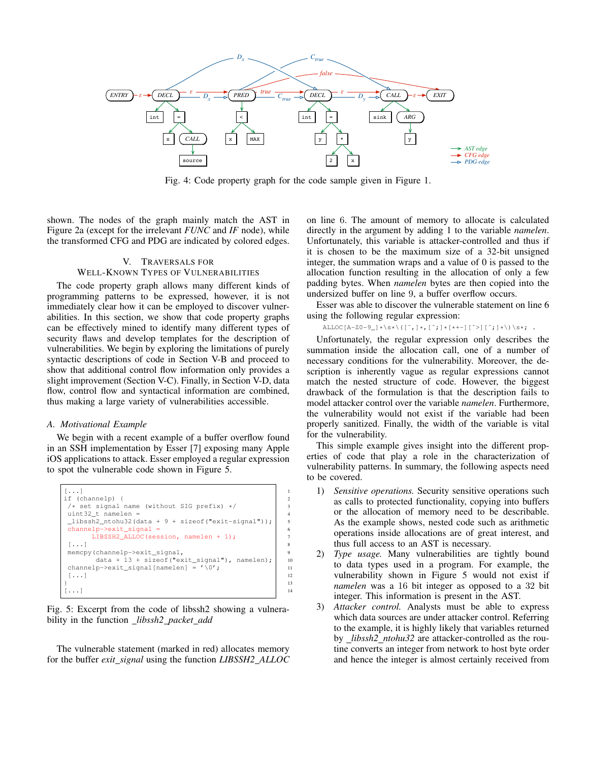

Fig. 4: Code property graph for the code sample given in Figure 1.

shown. The nodes of the graph mainly match the AST in Figure 2a (except for the irrelevant *FUNC* and *IF* node), while the transformed CFG and PDG are indicated by colored edges.

## V. TRAVERSALS FOR

## WELL-KNOWN TYPES OF VULNERABILITIES

The code property graph allows many different kinds of programming patterns to be expressed, however, it is not immediately clear how it can be employed to discover vulnerabilities. In this section, we show that code property graphs can be effectively mined to identify many different types of security flaws and develop templates for the description of vulnerabilities. We begin by exploring the limitations of purely syntactic descriptions of code in Section V-B and proceed to show that additional control flow information only provides a slight improvement (Section V-C). Finally, in Section V-D, data flow, control flow and syntactical information are combined, thus making a large variety of vulnerabilities accessible.

## *A. Motivational Example*

We begin with a recent example of a buffer overflow found in an SSH implementation by Esser [7] exposing many Apple iOS applications to attack. Esser employed a regular expression to spot the vulnerable code shown in Figure 5.

```
[...] 1
if (channelp) { 2
/* set signal name (without SIG prefix) */ 3<br>uint32 t namelen =
uint32 t namelen =
\_libssh2_ntohu32(data + 9 + sizeof("exit-signal")); | 5
channelp->exit_signal = 6
    LIBSSH2_ALLOC(session, namelen + 1);<br>8
\left[ \ldots \right] 8
memcpy(channelp->exit_signal, 9
     data + 13 + sizeof("exit_signal"), namelen); \begin{vmatrix} 1 & 0 \\ 0 & 1 \end{vmatrix}channelp->exit signal[namelen] = '\0; 11
\begin{bmatrix} \cdots \end{bmatrix} 12
} 13
\begin{bmatrix} \cdots \end{bmatrix} 14
```
Fig. 5: Excerpt from the code of libssh2 showing a vulnerability in the function *libssh2 packet add*

The vulnerable statement (marked in red) allocates memory for the buffer *exit signal* using the function *LIBSSH2 ALLOC* on line 6. The amount of memory to allocate is calculated directly in the argument by adding 1 to the variable *namelen*. Unfortunately, this variable is attacker-controlled and thus if it is chosen to be the maximum size of a 32-bit unsigned integer, the summation wraps and a value of 0 is passed to the allocation function resulting in the allocation of only a few padding bytes. When *namelen* bytes are then copied into the undersized buffer on line 9, a buffer overflow occurs.

Esser was able to discover the vulnerable statement on line 6 using the following regular expression:

ALLOC[A-Z0-9\_]\*\s\*\([^,]\*,[^;]\*[\*+-][^>][^;]\*\)\s\*; .

Unfortunately, the regular expression only describes the summation inside the allocation call, one of a number of necessary conditions for the vulnerability. Moreover, the description is inherently vague as regular expressions cannot match the nested structure of code. However, the biggest drawback of the formulation is that the description fails to model attacker control over the variable *namelen*. Furthermore, the vulnerability would not exist if the variable had been properly sanitized. Finally, the width of the variable is vital for the vulnerability.

This simple example gives insight into the different properties of code that play a role in the characterization of vulnerability patterns. In summary, the following aspects need to be covered.

- 1) *Sensitive operations.* Security sensitive operations such as calls to protected functionality, copying into buffers or the allocation of memory need to be describable. As the example shows, nested code such as arithmetic operations inside allocations are of great interest, and thus full access to an AST is necessary.
- 2) *Type usage.* Many vulnerabilities are tightly bound to data types used in a program. For example, the vulnerability shown in Figure 5 would not exist if *namelen* was a 16 bit integer as opposed to a 32 bit integer. This information is present in the AST.
- Attacker control. Analysts must be able to express which data sources are under attacker control. Referring to the example, it is highly likely that variables returned by *libssh2 ntohu32* are attacker-controlled as the routine converts an integer from network to host byte order and hence the integer is almost certainly received from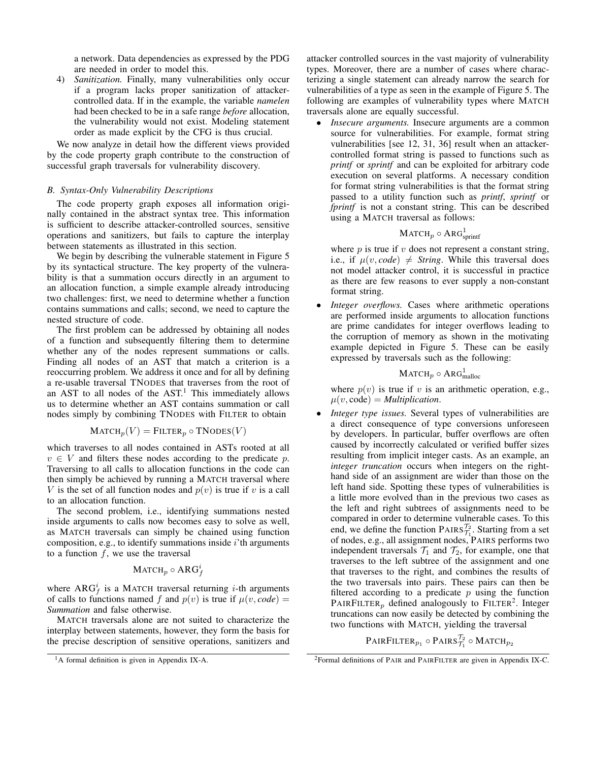a network. Data dependencies as expressed by the PDG are needed in order to model this.

4) *Sanitization.* Finally, many vulnerabilities only occur if a program lacks proper sanitization of attackercontrolled data. If in the example, the variable *namelen* had been checked to be in a safe range *before* allocation, the vulnerability would not exist. Modeling statement order as made explicit by the CFG is thus crucial.

We now analyze in detail how the different views provided by the code property graph contribute to the construction of successful graph traversals for vulnerability discovery.

## *B. Syntax-Only Vulnerability Descriptions*

The code property graph exposes all information originally contained in the abstract syntax tree. This information is sufficient to describe attacker-controlled sources, sensitive operations and sanitizers, but fails to capture the interplay between statements as illustrated in this section.

We begin by describing the vulnerable statement in Figure 5 by its syntactical structure. The key property of the vulnerability is that a summation occurs directly in an argument to an allocation function, a simple example already introducing two challenges: first, we need to determine whether a function contains summations and calls; second, we need to capture the nested structure of code.

The first problem can be addressed by obtaining all nodes of a function and subsequently filtering them to determine whether any of the nodes represent summations or calls. Finding all nodes of an AST that match a criterion is a reoccurring problem. We address it once and for all by defining a re-usable traversal TNODES that traverses from the root of an AST to all nodes of the  $AST<sup>1</sup>$ . This immediately allows us to determine whether an AST contains summation or call nodes simply by combining TNODES with FILTER to obtain

$$
MATCH_p(V) = FILTER_p \circ TNODES(V)
$$

which traverses to all nodes contained in ASTs rooted at all  $v \in V$  and filters these nodes according to the predicate p. Traversing to all calls to allocation functions in the code can then simply be achieved by running a MATCH traversal where V is the set of all function nodes and  $p(v)$  is true if v is a call to an allocation function.

The second problem, i.e., identifying summations nested inside arguments to calls now becomes easy to solve as well, as MATCH traversals can simply be chained using function composition, e.g., to identify summations inside  $i$ 'th arguments to a function  $f$ , we use the traversal

## Матсн $_p\circ\mathop{\rm ARG}\nolimits_f^i$

where ARG<sup>*i*</sup><sub>f</sub> is a MATCH traversal returning *i*-th arguments of calls to functions named f and  $p(v)$  is true if  $\mu(v, code) =$ *Summation* and false otherwise.

MATCH traversals alone are not suited to characterize the interplay between statements, however, they form the basis for the precise description of sensitive operations, sanitizers and attacker controlled sources in the vast majority of vulnerability types. Moreover, there are a number of cases where characterizing a single statement can already narrow the search for vulnerabilities of a type as seen in the example of Figure 5. The following are examples of vulnerability types where MATCH traversals alone are equally successful.

• *Insecure arguments.* Insecure arguments are a common source for vulnerabilities. For example, format string vulnerabilities [see 12, 31, 36] result when an attackercontrolled format string is passed to functions such as *printf* or *sprintf* and can be exploited for arbitrary code execution on several platforms. A necessary condition for format string vulnerabilities is that the format string passed to a utility function such as *printf*, *sprintf* or *fprintf* is not a constant string. This can be described using a MATCH traversal as follows:

$$
\mathrm{MATCH}_p \circ \mathrm{ARG}^1_{\mathrm{spring}}
$$

where  $p$  is true if  $v$  does not represent a constant string, i.e., if  $\mu(v, code) \neq String$ . While this traversal does not model attacker control, it is successful in practice as there are few reasons to ever supply a non-constant format string.

*Integer overflows.* Cases where arithmetic operations are performed inside arguments to allocation functions are prime candidates for integer overflows leading to the corruption of memory as shown in the motivating example depicted in Figure 5. These can be easily expressed by traversals such as the following:

$$
{\rm M}{\rm A}{\rm T}{\rm CH}_{p}\circ {\rm A}{\rm R}{\rm G}_{\rm malloc}^{1}
$$

where  $p(v)$  is true if v is an arithmetic operation, e.g.,  $\mu(v, code) = Multiplication.$ 

• *Integer type issues.* Several types of vulnerabilities are a direct consequence of type conversions unforeseen by developers. In particular, buffer overflows are often caused by incorrectly calculated or verified buffer sizes resulting from implicit integer casts. As an example, an *integer truncation* occurs when integers on the righthand side of an assignment are wider than those on the left hand side. Spotting these types of vulnerabilities is a little more evolved than in the previous two cases as the left and right subtrees of assignments need to be compared in order to determine vulnerable cases. To this end, we define the function PAIRS $\mathcal{T}_1^2$ . Starting from a set of nodes, e.g., all assignment nodes, PAIRS performs two independent traversals  $\mathcal{T}_1$  and  $\mathcal{T}_2$ , for example, one that traverses to the left subtree of the assignment and one that traverses to the right, and combines the results of the two traversals into pairs. These pairs can then be filtered according to a predicate  $p$  using the function PAIRFILTER<sub>p</sub> defined analogously to FILTER<sup>2</sup>. Integer truncations can now easily be detected by combining the two functions with MATCH, yielding the traversal

PAIRFILTER $_{p_1}\circ \mathsf{PAIRS}_{\mathcal{T}_1}^{\mathcal{T}_2}\circ \mathsf{MATCH}_{p_2}$ 

<sup>&</sup>lt;sup>1</sup>A formal definition is given in Appendix IX-A.

<sup>2</sup>Formal definitions of PAIR and PAIRFILTER are given in Appendix IX-C.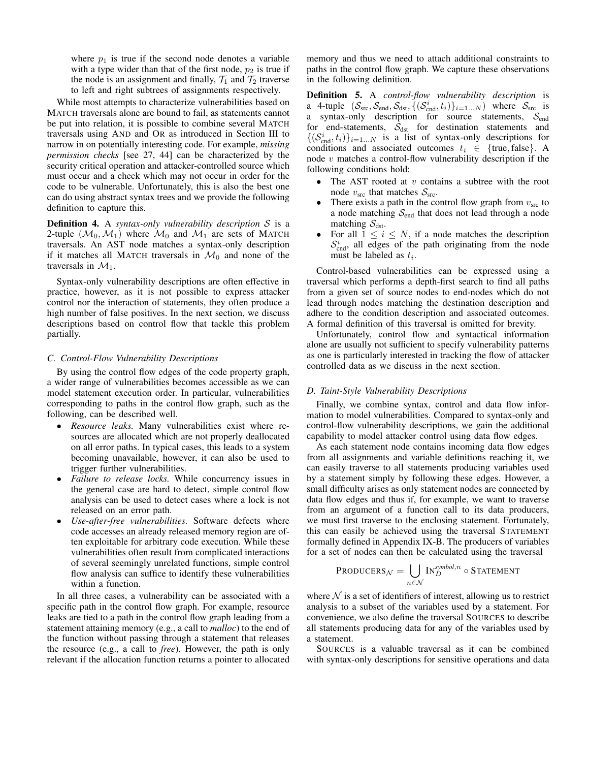where  $p_1$  is true if the second node denotes a variable with a type wider than that of the first node,  $p_2$  is true if the node is an assignment and finally,  $\mathcal{T}_1$  and  $\mathcal{T}_2$  traverse to left and right subtrees of assignments respectively.

While most attempts to characterize vulnerabilities based on MATCH traversals alone are bound to fail, as statements cannot be put into relation, it is possible to combine several MATCH traversals using AND and OR as introduced in Section III to narrow in on potentially interesting code. For example, *missing permission checks* [see 27, 44] can be characterized by the security critical operation and attacker-controlled source which must occur and a check which may not occur in order for the code to be vulnerable. Unfortunately, this is also the best one can do using abstract syntax trees and we provide the following definition to capture this.

Definition 4. A *syntax-only vulnerability description* S is a 2-tuple  $(\mathcal{M}_0, \mathcal{M}_1)$  where  $\mathcal{M}_0$  and  $\mathcal{M}_1$  are sets of MATCH traversals. An AST node matches a syntax-only description if it matches all MATCH traversals in  $\mathcal{M}_0$  and none of the traversals in  $\mathcal{M}_1$ .

Syntax-only vulnerability descriptions are often effective in practice, however, as it is not possible to express attacker control nor the interaction of statements, they often produce a high number of false positives. In the next section, we discuss descriptions based on control flow that tackle this problem partially.

#### *C. Control-Flow Vulnerability Descriptions*

By using the control flow edges of the code property graph, a wider range of vulnerabilities becomes accessible as we can model statement execution order. In particular, vulnerabilities corresponding to paths in the control flow graph, such as the following, can be described well.

- *Resource leaks.* Many vulnerabilities exist where resources are allocated which are not properly deallocated on all error paths. In typical cases, this leads to a system becoming unavailable, however, it can also be used to trigger further vulnerabilities.
- *Failure to release locks.* While concurrency issues in the general case are hard to detect, simple control flow analysis can be used to detect cases where a lock is not released on an error path.
- *Use-after-free vulnerabilities.* Software defects where code accesses an already released memory region are often exploitable for arbitrary code execution. While these vulnerabilities often result from complicated interactions of several seemingly unrelated functions, simple control flow analysis can suffice to identify these vulnerabilities within a function.

In all three cases, a vulnerability can be associated with a specific path in the control flow graph. For example, resource leaks are tied to a path in the control flow graph leading from a statement attaining memory (e.g., a call to *malloc*) to the end of the function without passing through a statement that releases the resource (e.g., a call to *free*). However, the path is only relevant if the allocation function returns a pointer to allocated memory and thus we need to attach additional constraints to paths in the control flow graph. We capture these observations in the following definition.

Definition 5. A *control-flow vulnerability description* is a 4-tuple  $(S_{\text{src}}, S_{\text{end}}, S_{\text{dst}}, \{(S_{\text{cnd}}^i, t_i)\}_{i=1...N})$  where  $S_{\text{src}}$  is a syntax-only description for source statements,  $S_{end}$ for end-statements,  $S_{dst}$  for destination statements and  $\{(\mathcal{S}_{\text{end}}^i, t_i)\}_{i=1...N}$  is a list of syntax-only descriptions for conditions and associated outcomes  $t_i \in \{true, false\}$ . A node  $v$  matches a control-flow vulnerability description if the following conditions hold:

- The AST rooted at  $v$  contains a subtree with the root node  $v_{\text{src}}$  that matches  $S_{\text{src}}$ .
- There exists a path in the control flow graph from  $v_{\text{src}}$  to a node matching  $S_{\text{end}}$  that does not lead through a node matching  $S_{\text{dst}}$ .
- For all  $1 \leq i \leq N$ , if a node matches the description  $S_{\text{end}}^{i}$ , all edges of the path originating from the node must be labeled as  $t_i$ .

Control-based vulnerabilities can be expressed using a traversal which performs a depth-first search to find all paths from a given set of source nodes to end-nodes which do not lead through nodes matching the destination description and adhere to the condition description and associated outcomes. A formal definition of this traversal is omitted for brevity.

Unfortunately, control flow and syntactical information alone are usually not sufficient to specify vulnerability patterns as one is particularly interested in tracking the flow of attacker controlled data as we discuss in the next section.

### *D. Taint-Style Vulnerability Descriptions*

Finally, we combine syntax, control and data flow information to model vulnerabilities. Compared to syntax-only and control-flow vulnerability descriptions, we gain the additional capability to model attacker control using data flow edges.

As each statement node contains incoming data flow edges from all assignments and variable definitions reaching it, we can easily traverse to all statements producing variables used by a statement simply by following these edges. However, a small difficulty arises as only statement nodes are connected by data flow edges and thus if, for example, we want to traverse from an argument of a function call to its data producers, we must first traverse to the enclosing statement. Fortunately, this can easily be achieved using the traversal STATEMENT formally defined in Appendix IX-B. The producers of variables for a set of nodes can then be calculated using the traversal

$$
PRODUCERS_{\mathcal{N}} = \bigcup_{n \in \mathcal{N}} \text{IN}_{D}^{symbol,n} \circ \text{STATEMENT}
$$

where  $N$  is a set of identifiers of interest, allowing us to restrict analysis to a subset of the variables used by a statement. For convenience, we also define the traversal SOURCES to describe all statements producing data for any of the variables used by a statement.

SOURCES is a valuable traversal as it can be combined with syntax-only descriptions for sensitive operations and data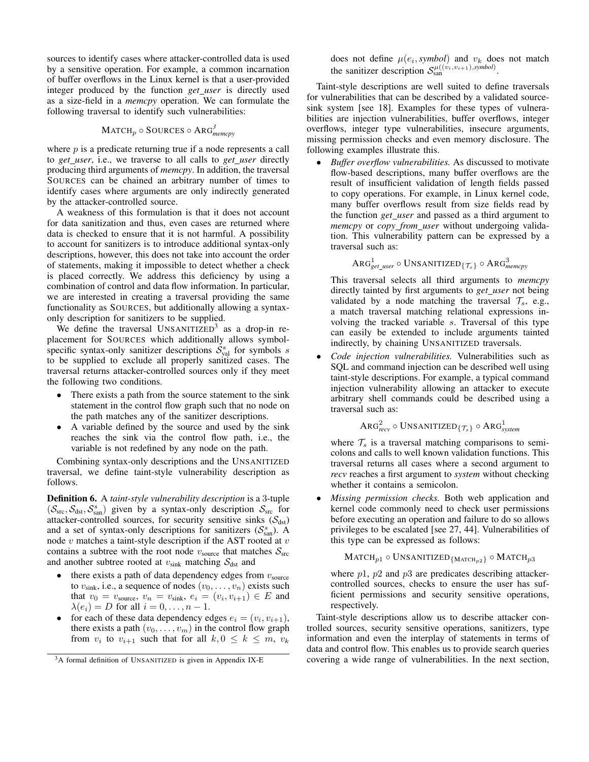sources to identify cases where attacker-controlled data is used by a sensitive operation. For example, a common incarnation of buffer overflows in the Linux kernel is that a user-provided integer produced by the function *get user* is directly used as a size-field in a *memcpy* operation. We can formulate the following traversal to identify such vulnerabilities:

$$
MATCH_p \circ \text{SOURCES} \circ \text{ARG}^3_{memory}
$$

where  $p$  is a predicate returning true if a node represents a call to *get user*, i.e., we traverse to all calls to *get user* directly producing third arguments of *memcpy*. In addition, the traversal SOURCES can be chained an arbitrary number of times to identify cases where arguments are only indirectly generated by the attacker-controlled source.

A weakness of this formulation is that it does not account for data sanitization and thus, even cases are returned where data is checked to ensure that it is not harmful. A possibility to account for sanitizers is to introduce additional syntax-only descriptions, however, this does not take into account the order of statements, making it impossible to detect whether a check is placed correctly. We address this deficiency by using a combination of control and data flow information. In particular, we are interested in creating a traversal providing the same functionality as SOURCES, but additionally allowing a syntaxonly description for sanitizers to be supplied.

We define the traversal UNSANITIZED<sup>3</sup> as a drop-in replacement for SOURCES which additionally allows symbolspecific syntax-only sanitizer descriptions  $\dot{\mathcal{S}}_{\text{val}}^s$  for symbols s to be supplied to exclude all properly sanitized cases. The traversal returns attacker-controlled sources only if they meet the following two conditions.

- There exists a path from the source statement to the sink statement in the control flow graph such that no node on the path matches any of the sanitizer descriptions.
- A variable defined by the source and used by the sink reaches the sink via the control flow path, i.e., the variable is not redefined by any node on the path.

Combining syntax-only descriptions and the UNSANITIZED traversal, we define taint-style vulnerability description as follows.

Definition 6. A *taint-style vulnerability description* is a 3-tuple  $(S_{\text{src}}, S_{\text{dst}}, S_{\text{san}}^s)$  given by a syntax-only description  $S_{\text{src}}$  for attacker-controlled sources, for security sensitive sinks  $(S_{dst})$ and a set of syntax-only descriptions for sanitizers  $(S_{\text{san}}^s)$ . A node  $v$  matches a taint-style description if the AST rooted at  $v$ contains a subtree with the root node  $v_{\text{source}}$  that matches  $S_{\text{src}}$ and another subtree rooted at  $v_{\text{sink}}$  matching  $S_{\text{dst}}$  and

- $\bullet$  there exists a path of data dependency edges from  $v_{\text{source}}$ to  $v_{\text{sink}}$ , i.e., a sequence of nodes  $(v_0, \ldots, v_n)$  exists such that  $v_0 = v_{\text{source}}$ ,  $v_n = v_{\text{sink}}$ ,  $e_i = (v_i, v_{i+1}) \in E$  and  $\lambda(e_i) = D$  for all  $i = 0, \ldots, n-1$ .
- for each of these data dependency edges  $e_i = (v_i, v_{i+1}),$ there exists a path  $(v_0, \ldots, v_m)$  in the control flow graph from  $v_i$  to  $v_{i+1}$  such that for all  $k, 0 \leq k \leq m$ ,  $v_k$

does not define  $\mu(e_i, symbol)$  and  $v_k$  does not match the sanitizer description  $S_{\text{san}}^{\mu((v_i, v_{i+1}), symbol)}$ .

Taint-style descriptions are well suited to define traversals for vulnerabilities that can be described by a validated sourcesink system [see 18]. Examples for these types of vulnerabilities are injection vulnerabilities, buffer overflows, integer overflows, integer type vulnerabilities, insecure arguments, missing permission checks and even memory disclosure. The following examples illustrate this.

• *Buffer overflow vulnerabilities.* As discussed to motivate flow-based descriptions, many buffer overflows are the result of insufficient validation of length fields passed to copy operations. For example, in Linux kernel code, many buffer overflows result from size fields read by the function *get user* and passed as a third argument to *memcpy* or *copy from user* without undergoing validation. This vulnerability pattern can be expressed by a traversal such as:

$$
ARG_{get\_user}^{1} \circ \text{UNSANITIZED}_{\{\mathcal{T}_{s}\}} \circ \text{ARG}_{memory}^{3}
$$

This traversal selects all third arguments to *memcpy* directly tainted by first arguments to *get user* not being validated by a node matching the traversal  $\mathcal{T}_s$ , e.g., a match traversal matching relational expressions involving the tracked variable s. Traversal of this type can easily be extended to include arguments tainted indirectly, by chaining UNSANITIZED traversals.

• *Code injection vulnerabilities.* Vulnerabilities such as SQL and command injection can be described well using taint-style descriptions. For example, a typical command injection vulnerability allowing an attacker to execute arbitrary shell commands could be described using a traversal such as:

$$
\text{ARG}^2_{recv} \circ \text{UNSANITIZED}_{\{\mathcal{T}_s\}} \circ \text{ARG}^1_{system}
$$

where  $\mathcal{T}_s$  is a traversal matching comparisons to semicolons and calls to well known validation functions. This traversal returns all cases where a second argument to *recv* reaches a first argument to *system* without checking whether it contains a semicolon.

• *Missing permission checks.* Both web application and kernel code commonly need to check user permissions before executing an operation and failure to do so allows privileges to be escalated [see 27, 44]. Vulnerabilities of this type can be expressed as follows:

$$
\mathop{\mathsf{MATCH}}\nolimits_{p1} \circ \mathop{\mathsf{UNSANITIZED}}\nolimits_{\{ \mathop{\mathsf{Match}}\nolimits_{p2} \}} \circ \mathop{\mathsf{Match}}\nolimits_{p3}
$$

where  $p1$ ,  $p2$  and  $p3$  are predicates describing attackercontrolled sources, checks to ensure the user has sufficient permissions and security sensitive operations, respectively.

Taint-style descriptions allow us to describe attacker controlled sources, security sensitive operations, sanitizers, type information and even the interplay of statements in terms of data and control flow. This enables us to provide search queries covering a wide range of vulnerabilities. In the next section,

<sup>&</sup>lt;sup>3</sup>A formal definition of UNSANITIZED is given in Appendix IX-E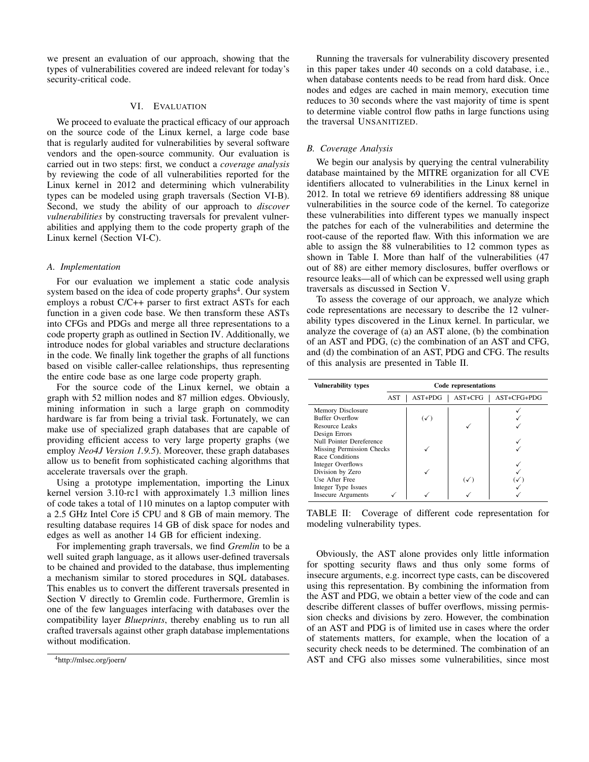we present an evaluation of our approach, showing that the types of vulnerabilities covered are indeed relevant for today's security-critical code.

## VI. EVALUATION

We proceed to evaluate the practical efficacy of our approach on the source code of the Linux kernel, a large code base that is regularly audited for vulnerabilities by several software vendors and the open-source community. Our evaluation is carried out in two steps: first, we conduct a *coverage analysis* by reviewing the code of all vulnerabilities reported for the Linux kernel in 2012 and determining which vulnerability types can be modeled using graph traversals (Section VI-B). Second, we study the ability of our approach to *discover vulnerabilities* by constructing traversals for prevalent vulnerabilities and applying them to the code property graph of the Linux kernel (Section VI-C).

#### *A. Implementation*

For our evaluation we implement a static code analysis system based on the idea of code property graphs<sup>4</sup>. Our system employs a robust C/C++ parser to first extract ASTs for each function in a given code base. We then transform these ASTs into CFGs and PDGs and merge all three representations to a code property graph as outlined in Section IV. Additionally, we introduce nodes for global variables and structure declarations in the code. We finally link together the graphs of all functions based on visible caller-callee relationships, thus representing the entire code base as one large code property graph.

For the source code of the Linux kernel, we obtain a graph with 52 million nodes and 87 million edges. Obviously, mining information in such a large graph on commodity hardware is far from being a trivial task. Fortunately, we can make use of specialized graph databases that are capable of providing efficient access to very large property graphs (we employ *Neo4J Version 1.9.5*). Moreover, these graph databases allow us to benefit from sophisticated caching algorithms that accelerate traversals over the graph.

Using a prototype implementation, importing the Linux kernel version 3.10-rc1 with approximately 1.3 million lines of code takes a total of 110 minutes on a laptop computer with a 2.5 GHz Intel Core i5 CPU and 8 GB of main memory. The resulting database requires 14 GB of disk space for nodes and edges as well as another 14 GB for efficient indexing.

For implementing graph traversals, we find *Gremlin* to be a well suited graph language, as it allows user-defined traversals to be chained and provided to the database, thus implementing a mechanism similar to stored procedures in SQL databases. This enables us to convert the different traversals presented in Section V directly to Gremlin code. Furthermore, Gremlin is one of the few languages interfacing with databases over the compatibility layer *Blueprints*, thereby enabling us to run all crafted traversals against other graph database implementations without modification.

Running the traversals for vulnerability discovery presented in this paper takes under 40 seconds on a cold database, i.e., when database contents needs to be read from hard disk. Once nodes and edges are cached in main memory, execution time reduces to 30 seconds where the vast majority of time is spent to determine viable control flow paths in large functions using the traversal UNSANITIZED.

## *B. Coverage Analysis*

We begin our analysis by querying the central vulnerability database maintained by the MITRE organization for all CVE identifiers allocated to vulnerabilities in the Linux kernel in 2012. In total we retrieve 69 identifiers addressing 88 unique vulnerabilities in the source code of the kernel. To categorize these vulnerabilities into different types we manually inspect the patches for each of the vulnerabilities and determine the root-cause of the reported flaw. With this information we are able to assign the 88 vulnerabilities to 12 common types as shown in Table I. More than half of the vulnerabilities (47 out of 88) are either memory disclosures, buffer overflows or resource leaks—all of which can be expressed well using graph traversals as discussed in Section V.

To assess the coverage of our approach, we analyze which code representations are necessary to describe the 12 vulnerability types discovered in the Linux kernel. In particular, we analyze the coverage of (a) an AST alone, (b) the combination of an AST and PDG, (c) the combination of an AST and CFG, and (d) the combination of an AST, PDG and CFG. The results of this analysis are presented in Table II.

| <b>Vulnerability types</b> | Code representations |                |              |                |
|----------------------------|----------------------|----------------|--------------|----------------|
|                            | AST                  | $AST+PDG$      | AST+CFG      | AST+CFG+PDG    |
| Memory Disclosure          |                      |                |              |                |
| <b>Buffer Overflow</b>     |                      | $(\checkmark)$ |              |                |
| Resource Leaks             |                      |                |              |                |
| Design Errors              |                      |                |              |                |
| Null Pointer Dereference   |                      |                |              |                |
| Missing Permission Checks  |                      |                |              |                |
| Race Conditions            |                      |                |              |                |
| <b>Integer Overflows</b>   |                      |                |              |                |
| Division by Zero           |                      |                |              |                |
| Use After Free             |                      |                | $(\sqrt{2})$ | $(\checkmark)$ |
| Integer Type Issues        |                      |                |              |                |
| <b>Insecure Arguments</b>  |                      |                |              |                |

TABLE II: Coverage of different code representation for modeling vulnerability types.

Obviously, the AST alone provides only little information for spotting security flaws and thus only some forms of insecure arguments, e.g. incorrect type casts, can be discovered using this representation. By combining the information from the AST and PDG, we obtain a better view of the code and can describe different classes of buffer overflows, missing permission checks and divisions by zero. However, the combination of an AST and PDG is of limited use in cases where the order of statements matters, for example, when the location of a security check needs to be determined. The combination of an AST and CFG also misses some vulnerabilities, since most

<sup>4</sup>http://mlsec.org/joern/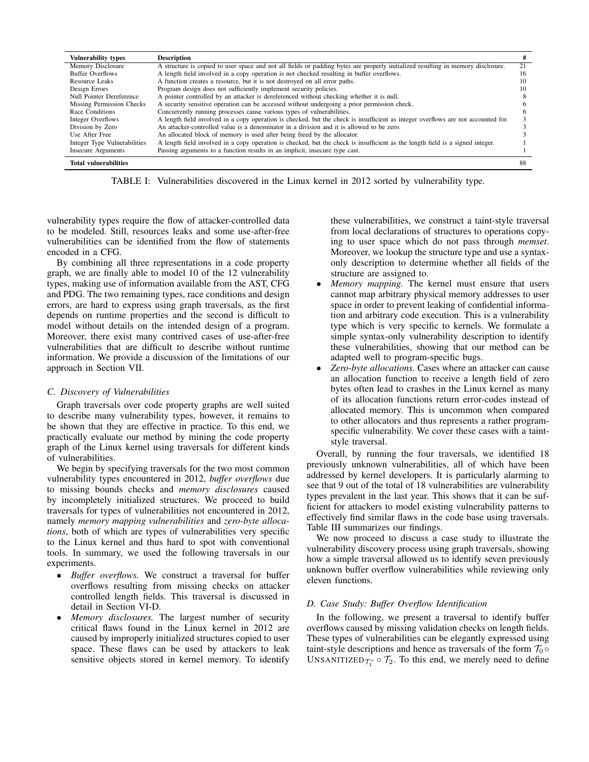| <b>Vulnerability types</b>   | <b>Description</b>                                                                                                                |    |
|------------------------------|-----------------------------------------------------------------------------------------------------------------------------------|----|
| Memory Disclosure            | A structure is copied to user space and not all fields or padding bytes are properly initialized resulting in memory disclosure.  | 21 |
| <b>Buffer Overflows</b>      | A length field involved in a copy operation is not checked resulting in buffer overflows.                                         | 16 |
| Resource Leaks               | A function creates a resource, but it is not destroyed on all error paths.                                                        | 10 |
| Design Errors                | Program design does not sufficiently implement security policies.                                                                 |    |
| Null Pointer Dereference     | A pointer controlled by an attacker is dereferenced without checking whether it is null.                                          |    |
| Missing Permission Checks    | A security sensitive operation can be accessed without undergoing a prior permission check.                                       |    |
| Race Conditions              | Concurrently running processes cause various types of vulnerabilities.                                                            |    |
| Integer Overflows            | A length field involved in a copy operation is checked, but the check is insufficient as integer overflows are not accounted for. |    |
| Division by Zero             | An attacker-controlled value is a denominator in a division and it is allowed to be zero.                                         |    |
| Use After Free               | An allocated block of memory is used after being freed by the allocator.                                                          |    |
| Integer Type Vulnerabilities | A length field involved in a copy operation is checked, but the check is insufficient as the length field is a signed integer.    |    |
| <b>Insecure Arguments</b>    | Passing arguments to a function results in an implicit, insecure type cast.                                                       |    |
| <b>Total vulnerabilities</b> |                                                                                                                                   | 88 |

TABLE I: Vulnerabilities discovered in the Linux kernel in 2012 sorted by vulnerability type.

vulnerability types require the flow of attacker-controlled data to be modeled. Still, resources leaks and some use-after-free vulnerabilities can be identified from the flow of statements encoded in a CFG.

By combining all three representations in a code property graph, we are finally able to model 10 of the 12 vulnerability types, making use of information available from the AST, CFG and PDG. The two remaining types, race conditions and design errors, are hard to express using graph traversals, as the first depends on runtime properties and the second is difficult to model without details on the intended design of a program. Moreover, there exist many contrived cases of use-after-free vulnerabilities that are difficult to describe without runtime information. We provide a discussion of the limitations of our approach in Section VII.

## *C. Discovery of Vulnerabilities*

Graph traversals over code property graphs are well suited to describe many vulnerability types, however, it remains to be shown that they are effective in practice. To this end, we practically evaluate our method by mining the code property graph of the Linux kernel using traversals for different kinds of vulnerabilities.

We begin by specifying traversals for the two most common vulnerability types encountered in 2012, *buffer overflows* due to missing bounds checks and *memory disclosures* caused by incompletely initialized structures. We proceed to build traversals for types of vulnerabilities not encountered in 2012, namely *memory mapping vulnerabilities* and *zero-byte allocations*, both of which are types of vulnerabilities very specific to the Linux kernel and thus hard to spot with conventional tools. In summary, we used the following traversals in our experiments.

- *Buffer overflows.* We construct a traversal for buffer overflows resulting from missing checks on attacker controlled length fields. This traversal is discussed in detail in Section VI-D.
- *Memory disclosures.* The largest number of security critical flaws found in the Linux kernel in 2012 are caused by improperly initialized structures copied to user space. These flaws can be used by attackers to leak sensitive objects stored in kernel memory. To identify

these vulnerabilities, we construct a taint-style traversal from local declarations of structures to operations copying to user space which do not pass through *memset*. Moreover, we lookup the structure type and use a syntaxonly description to determine whether all fields of the structure are assigned to.

- *Memory mapping.* The kernel must ensure that users cannot map arbitrary physical memory addresses to user space in order to prevent leaking of confidential information and arbitrary code execution. This is a vulnerability type which is very specific to kernels. We formulate a simple syntax-only vulnerability description to identify these vulnerabilities, showing that our method can be adapted well to program-specific bugs.
- *Zero-byte allocations.* Cases where an attacker can cause an allocation function to receive a length field of zero bytes often lead to crashes in the Linux kernel as many of its allocation functions return error-codes instead of allocated memory. This is uncommon when compared to other allocators and thus represents a rather programspecific vulnerability. We cover these cases with a taintstyle traversal.

Overall, by running the four traversals, we identified 18 previously unknown vulnerabilities, all of which have been addressed by kernel developers. It is particularly alarming to see that 9 out of the total of 18 vulnerabilities are vulnerability types prevalent in the last year. This shows that it can be sufficient for attackers to model existing vulnerability patterns to effectively find similar flaws in the code base using traversals. Table III summarizes our findings.

We now proceed to discuss a case study to illustrate the vulnerability discovery process using graph traversals, showing how a simple traversal allowed us to identify seven previously unknown buffer overflow vulnerabilities while reviewing only eleven functions.

## *D. Case Study: Buffer Overflow Identification*

In the following, we present a traversal to identify buffer overflows caused by missing validation checks on length fields. These types of vulnerabilities can be elegantly expressed using taint-style descriptions and hence as traversals of the form  $\mathcal{T}_0 \circ$ UNSANITIZED $_{\mathcal{T}_1^s} \circ \mathcal{T}_2$ . To this end, we merely need to define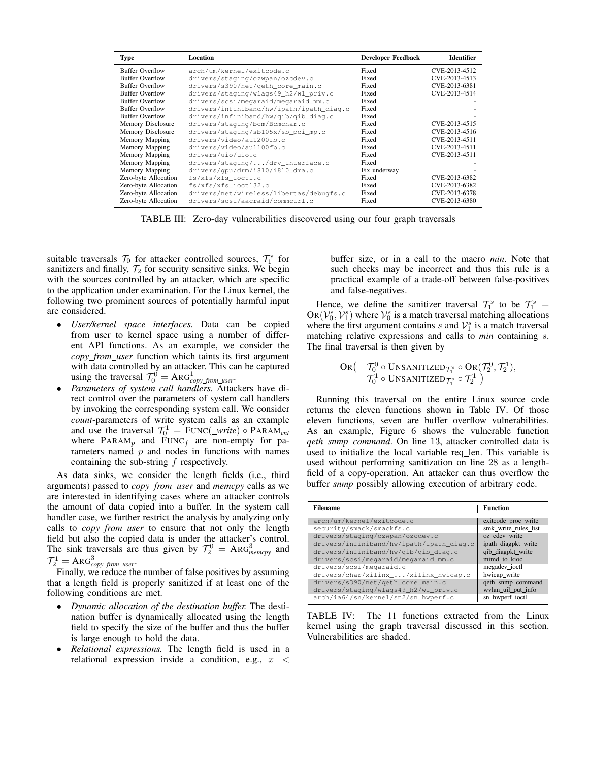| <b>Type</b>            | Location                                 | <b>Developer Feedback</b> | <b>Identifier</b> |
|------------------------|------------------------------------------|---------------------------|-------------------|
| <b>Buffer Overflow</b> | arch/um/kernel/exitcode.c                | Fixed                     | CVE-2013-4512     |
| <b>Buffer Overflow</b> | drivers/staging/ozwpan/ozcdev.c          | Fixed                     | CVE-2013-4513     |
| <b>Buffer Overflow</b> | drivers/s390/net/qeth_core_main.c        | Fixed                     | CVE-2013-6381     |
| <b>Buffer Overflow</b> | drivers/staging/wlags49_h2/wl_priv.c     | Fixed                     | CVE-2013-4514     |
| <b>Buffer Overflow</b> | drivers/scsi/megaraid/megaraid mm.c      | Fixed                     |                   |
| <b>Buffer Overflow</b> | drivers/infiniband/hw/ipath/ipath_diag.c | Fixed                     |                   |
| <b>Buffer Overflow</b> | drivers/infiniband/hw/gib/gib diag.c     | Fixed                     |                   |
| Memory Disclosure      | drivers/staging/bcm/Bcmchar.c            | Fixed                     | CVE-2013-4515     |
| Memory Disclosure      | drivers/staging/sb105x/sb pci mp.c       | Fixed                     | CVE-2013-4516     |
| Memory Mapping         | drivers/video/au1200fb.c                 | Fixed                     | CVE-2013-4511     |
| Memory Mapping         | drivers/video/au1100fb.c                 | Fixed                     | CVE-2013-4511     |
| Memory Mapping         | drivers/uio/uio.c                        | Fixed                     | CVE-2013-4511     |
| Memory Mapping         | drivers/staging//drv interface.c         | Fixed                     |                   |
| Memory Mapping         | drivers/qpu/drm/i810/i810 dma.c          | Fix underway              |                   |
| Zero-byte Allocation   | fs/xfs/xfs_ioctl.c                       | Fixed                     | CVE-2013-6382     |
| Zero-byte Allocation   | fs/xfs/xfs ioctl32.c                     | Fixed                     | CVE-2013-6382     |
| Zero-byte Allocation   | drivers/net/wireless/libertas/debugfs.c  | Fixed                     | CVE-2013-6378     |
| Zero-byte Allocation   | drivers/scsi/aacraid/commctrl.c          | Fixed                     | CVE-2013-6380     |

TABLE III: Zero-day vulnerabilities discovered using our four graph traversals

suitable traversals  $\mathcal{T}_0$  for attacker controlled sources,  $\mathcal{T}_1^s$  for sanitizers and finally,  $\mathcal{T}_2$  for security sensitive sinks. We begin with the sources controlled by an attacker, which are specific to the application under examination. For the Linux kernel, the following two prominent sources of potentially harmful input are considered.

- *User/kernel space interfaces.* Data can be copied from user to kernel space using a number of different API functions. As an example, we consider the *copy from user* function which taints its first argument with data controlled by an attacker. This can be captured using the traversal  $\mathcal{T}_0^0 = \text{ARG}_{copy\_from\_user}^1$ .
- *Parameters of system call handlers.* Attackers have direct control over the parameters of system call handlers by invoking the corresponding system call. We consider *count*-parameters of write system calls as an example and use the traversal  $\mathcal{T}_0^1 = \text{FUNC}(\_write) \circ \text{PARAM}_{cnt}$ where  $PARAM_p$  and  $FUNC_f$  are non-empty for parameters named  $p$  and nodes in functions with names containing the sub-string  $f$  respectively.

As data sinks, we consider the length fields (i.e., third arguments) passed to *copy from user* and *memcpy* calls as we are interested in identifying cases where an attacker controls the amount of data copied into a buffer. In the system call handler case, we further restrict the analysis by analyzing only calls to *copy\_from\_user* to ensure that not only the length field but also the copied data is under the attacker's control. The sink traversals are thus given by  $\mathcal{T}_2^0 = \text{ARG}_{\text{memory}}^3$  and  $\mathcal{T}_2^1 = \text{ARG}^3_{copy\_from\_user}.$ 

Finally, we reduce the number of false positives by assuming that a length field is properly sanitized if at least one of the following conditions are met.

- *Dynamic allocation of the destination buffer.* The destination buffer is dynamically allocated using the length field to specify the size of the buffer and thus the buffer is large enough to hold the data.
- *Relational expressions.* The length field is used in a relational expression inside a condition, e.g.,  $x <$

buffer\_size, or in a call to the macro *min*. Note that such checks may be incorrect and thus this rule is a practical example of a trade-off between false-positives and false-negatives.

Hence, we define the sanitizer traversal  $\mathcal{T}_1^s$  to be  $\mathcal{T}_1^s$  $\text{OR}(\mathcal{V}_0^s, \mathcal{V}_1^s)$  where  $\mathcal{V}_0^s$  is a match traversal matching allocations where the first argument contains  $s$  and  $\mathcal{V}_1^s$  is a match traversal matching relative expressions and calls to *min* containing s. The final traversal is then given by

$$
\text{Or}\big(\begin{array}{c}\mathcal{T}_0^0\circ\text{Unsanitized}_{\mathcal{T}_1^s}\circ\text{Or}(\mathcal{T}_2^0,\mathcal{T}_2^1),\\ \mathcal{T}_0^1\circ\text{Unsanitized}_{\mathcal{T}_1^s}\circ\mathcal{T}_2^1\end{array}\big)
$$

Running this traversal on the entire Linux source code returns the eleven functions shown in Table IV. Of those eleven functions, seven are buffer overflow vulnerabilities. As an example, Figure 6 shows the vulnerable function *qeth snmp command*. On line 13, attacker controlled data is used to initialize the local variable req len. This variable is used without performing sanitization on line 28 as a lengthfield of a copy-operation. An attacker can thus overflow the buffer *snmp* possibly allowing execution of arbitrary code.

| <b>Filename</b>                          | <b>Function</b>      |
|------------------------------------------|----------------------|
| arch/um/kernel/exitcode.c                | exitcode_proc_write  |
| security/smack/smackfs.c                 | smk_write_rules_list |
| drivers/staging/ozwpan/ozcdev.c          | oz cdev write        |
| drivers/infiniband/hw/ipath/ipath_diag.c | ipath_diagpkt_write  |
| drivers/infiniband/hw/qib/qib_diaq.c     | qib_diagpkt_write    |
| drivers/scsi/megaraid/megaraid_mm.c      | mimd to kioc         |
| drivers/scsi/megaraid.c                  | megadev ioctl        |
| drivers/char/xilinx_/xilinx_hwicap.c     | hwicap_write         |
| drivers/s390/net/qeth_core_main.c        | qeth_snmp_command    |
| drivers/staging/wlags49_h2/wl_priv.c     | wvlan_uil_put_info   |
| arch/ia64/sn/kernel/sn2/sn_hwperf.c      | sn hwperf ioctl      |

TABLE IV: The 11 functions extracted from the Linux kernel using the graph traversal discussed in this section. Vulnerabilities are shaded.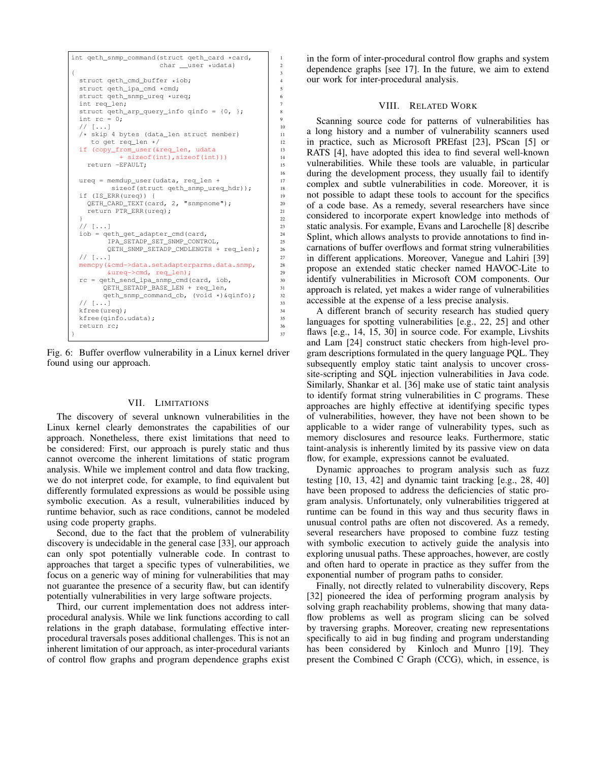```
int qeth_snmp_command(struct qeth_card *card, \frac{1}{2}char __user *udata) 2 \atop 3\{ 3
  struct qeth_cmd_buffer *iob;<br>struct geth ipa cmd *cmd: 5
  struct qeth_ipa_cmd *cmd;<br>struct qeth_snmp_ureq *ureq; 6
  struct qeth_snmp_ureq *ureq; 6<br>int req len; 7
  int req_len; 7
  struct qeth_arp_query_info qinfo = {0, }; 8
  int rc = 0; \frac{1}{2} 9
  1/ [...]
  /* skip 4 bytes (data_len struct member) 11<br>to get reg len */ 12
     to get req_len */ 12<br>(copy from user(& req len, udata 13
  if (copy\_from\_user(\&req\_len, udata
+ sizeof(int), sizeof(int)))
14
             + sizeof(int), sizeof(int)))
    return -EFAULT; 15
  ureq = memdup_user(udata, req_len + 17
           sizeof(struct qeth_snmp_ureq_hdr));<br>
RR(ureq)) {
  if (IS_ERR(ureq)) {
    QETH_CARD_TEXT(card, 2, "snmpnome");<br>return PTR ERR(ureg): 21
    return PTR_ERR(ureq);<br>21<br>22
  } 22
  \begin{array}{r} \n 1 \quad \text{(} \quad 1 \quad \text{(} \quad 23 \quad \text{(} \quad 24 \quad \text{(} \quad 24 \quad \text{(} \quad 25 \quad \text{(} \quad 24 \quad \text{(} \quad 24 \quad \text{(} \quad 25 \quad \text{(} \quad 24 \quad \text{(} \quad 25 \quad \text{(} \quad 24 \quad \text{(} \quad 25 \quad \text{(} \quad 26 \quad \text{(} \quad 27 \quad \text{(} \quad 28 \quad \text{(} \quad 27 \quad \text{(} \quad 28 \quad \text{(} \quad 28 \quad \text{(} \quad 27 \iob = qeth_get_adapter_cmd(card, 24
          IPA_SETADP_SET_SNMP_CONTROL,<br>OETH SNMP SETADP CMDLENGTH + reg len): 26
          QETH_SNMP_SETADP_CMDLENGTH + req_len); 26
  \frac{1}{27} \frac{1}{27}memcpy(&cmd->data.setadapterparms.data.snmp, 28
          \text{Aureq}->cmd, req len); \begin{array}{|c|c|c|c|c|c|c|c|c|c|c|c|} \hline \text{Q9} & \text{Q9} & \text{Q1} & \text{Q2} & \text{Q3} \ \hline \end{array}rc = \text{geth}\text{ send} ipa_snmp_cmd(card, iob, \vert 30
        QETH_SETADP_BASE_LEN + req_len, 31
        qeth snmp command cb, (void *)&qinfo); \frac{1}{32}1/\sqrt{1}...] 33
  kfree(ureq): 34
  kfree(qinfo.udata); 35
  return rc; 36
} 37
```
16

Fig. 6: Buffer overflow vulnerability in a Linux kernel driver found using our approach.

#### VII. LIMITATIONS

The discovery of several unknown vulnerabilities in the Linux kernel clearly demonstrates the capabilities of our approach. Nonetheless, there exist limitations that need to be considered: First, our approach is purely static and thus cannot overcome the inherent limitations of static program analysis. While we implement control and data flow tracking, we do not interpret code, for example, to find equivalent but differently formulated expressions as would be possible using symbolic execution. As a result, vulnerabilities induced by runtime behavior, such as race conditions, cannot be modeled using code property graphs.

Second, due to the fact that the problem of vulnerability discovery is undecidable in the general case [33], our approach can only spot potentially vulnerable code. In contrast to approaches that target a specific types of vulnerabilities, we focus on a generic way of mining for vulnerabilities that may not guarantee the presence of a security flaw, but can identify potentially vulnerabilities in very large software projects.

Third, our current implementation does not address interprocedural analysis. While we link functions according to call relations in the graph database, formulating effective interprocedural traversals poses additional challenges. This is not an inherent limitation of our approach, as inter-procedural variants of control flow graphs and program dependence graphs exist in the form of inter-procedural control flow graphs and system dependence graphs [see 17]. In the future, we aim to extend our work for inter-procedural analysis.

## VIII. RELATED WORK

Scanning source code for patterns of vulnerabilities has a long history and a number of vulnerability scanners used in practice, such as Microsoft PREfast [23], PScan [5] or RATS [4], have adopted this idea to find several well-known vulnerabilities. While these tools are valuable, in particular during the development process, they usually fail to identify complex and subtle vulnerabilities in code. Moreover, it is not possible to adapt these tools to account for the specifics of a code base. As a remedy, several researchers have since considered to incorporate expert knowledge into methods of static analysis. For example, Evans and Larochelle [8] describe Splint, which allows analysts to provide annotations to find incarnations of buffer overflows and format string vulnerabilities in different applications. Moreover, Vanegue and Lahiri [39] propose an extended static checker named HAVOC-Lite to identify vulnerabilities in Microsoft COM components. Our approach is related, yet makes a wider range of vulnerabilities accessible at the expense of a less precise analysis.

A different branch of security research has studied query languages for spotting vulnerabilities [e.g., 22, 25] and other flaws [e.g., 14, 15, 30] in source code. For example, Livshits and Lam [24] construct static checkers from high-level program descriptions formulated in the query language PQL. They subsequently employ static taint analysis to uncover crosssite-scripting and SQL injection vulnerabilities in Java code. Similarly, Shankar et al. [36] make use of static taint analysis to identify format string vulnerabilities in C programs. These approaches are highly effective at identifying specific types of vulnerabilities, however, they have not been shown to be applicable to a wider range of vulnerability types, such as memory disclosures and resource leaks. Furthermore, static taint-analysis is inherently limited by its passive view on data flow, for example, expressions cannot be evaluated.

Dynamic approaches to program analysis such as fuzz testing [10, 13, 42] and dynamic taint tracking [e.g., 28, 40] have been proposed to address the deficiencies of static program analysis. Unfortunately, only vulnerabilities triggered at runtime can be found in this way and thus security flaws in unusual control paths are often not discovered. As a remedy, several researchers have proposed to combine fuzz testing with symbolic execution to actively guide the analysis into exploring unusual paths. These approaches, however, are costly and often hard to operate in practice as they suffer from the exponential number of program paths to consider.

Finally, not directly related to vulnerability discovery, Reps [32] pioneered the idea of performing program analysis by solving graph reachability problems, showing that many dataflow problems as well as program slicing can be solved by traversing graphs. Moreover, creating new representations specifically to aid in bug finding and program understanding has been considered by Kinloch and Munro [19]. They present the Combined C Graph (CCG), which, in essence, is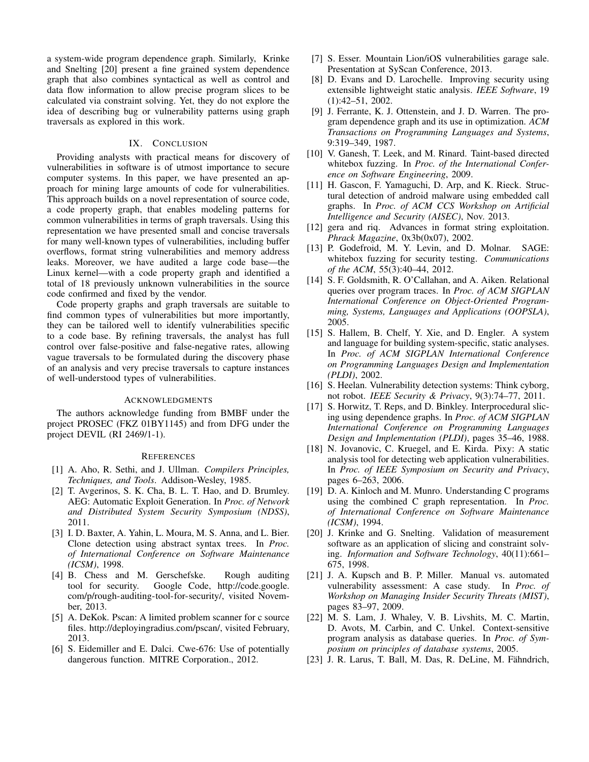a system-wide program dependence graph. Similarly, Krinke and Snelting [20] present a fine grained system dependence graph that also combines syntactical as well as control and data flow information to allow precise program slices to be calculated via constraint solving. Yet, they do not explore the idea of describing bug or vulnerability patterns using graph traversals as explored in this work.

### IX. CONCLUSION

Providing analysts with practical means for discovery of vulnerabilities in software is of utmost importance to secure computer systems. In this paper, we have presented an approach for mining large amounts of code for vulnerabilities. This approach builds on a novel representation of source code, a code property graph, that enables modeling patterns for common vulnerabilities in terms of graph traversals. Using this representation we have presented small and concise traversals for many well-known types of vulnerabilities, including buffer overflows, format string vulnerabilities and memory address leaks. Moreover, we have audited a large code base—the Linux kernel—with a code property graph and identified a total of 18 previously unknown vulnerabilities in the source code confirmed and fixed by the vendor.

Code property graphs and graph traversals are suitable to find common types of vulnerabilities but more importantly, they can be tailored well to identify vulnerabilities specific to a code base. By refining traversals, the analyst has full control over false-positive and false-negative rates, allowing vague traversals to be formulated during the discovery phase of an analysis and very precise traversals to capture instances of well-understood types of vulnerabilities.

#### ACKNOWLEDGMENTS

The authors acknowledge funding from BMBF under the project PROSEC (FKZ 01BY1145) and from DFG under the project DEVIL (RI 2469/1-1).

#### **REFERENCES**

- [1] A. Aho, R. Sethi, and J. Ullman. *Compilers Principles, Techniques, and Tools*. Addison-Wesley, 1985.
- [2] T. Avgerinos, S. K. Cha, B. L. T. Hao, and D. Brumley. AEG: Automatic Exploit Generation. In *Proc. of Network and Distributed System Security Symposium (NDSS)*, 2011.
- [3] I. D. Baxter, A. Yahin, L. Moura, M. S. Anna, and L. Bier. Clone detection using abstract syntax trees. In *Proc. of International Conference on Software Maintenance (ICSM)*, 1998.
- [4] B. Chess and M. Gerschefske. Rough auditing tool for security. Google Code, http://code.google. com/p/rough-auditing-tool-for-security/, visited November, 2013.
- [5] A. DeKok. Pscan: A limited problem scanner for c source files. http://deployingradius.com/pscan/, visited February, 2013.
- [6] S. Eidemiller and E. Dalci. Cwe-676: Use of potentially dangerous function. MITRE Corporation., 2012.
- [7] S. Esser. Mountain Lion/iOS vulnerabilities garage sale. Presentation at SyScan Conference, 2013.
- [8] D. Evans and D. Larochelle. Improving security using extensible lightweight static analysis. *IEEE Software*, 19 (1):42–51, 2002.
- [9] J. Ferrante, K. J. Ottenstein, and J. D. Warren. The program dependence graph and its use in optimization. *ACM Transactions on Programming Languages and Systems*, 9:319–349, 1987.
- [10] V. Ganesh, T. Leek, and M. Rinard. Taint-based directed whitebox fuzzing. In *Proc. of the International Conference on Software Engineering*, 2009.
- [11] H. Gascon, F. Yamaguchi, D. Arp, and K. Rieck. Structural detection of android malware using embedded call graphs. In *Proc. of ACM CCS Workshop on Artificial Intelligence and Security (AISEC)*, Nov. 2013.
- [12] gera and riq. Advances in format string exploitation. *Phrack Magazine*, 0x3b(0x07), 2002.
- [13] P. Godefroid, M. Y. Levin, and D. Molnar. SAGE: whitebox fuzzing for security testing. *Communications of the ACM*, 55(3):40–44, 2012.
- [14] S. F. Goldsmith, R. O'Callahan, and A. Aiken. Relational queries over program traces. In *Proc. of ACM SIGPLAN International Conference on Object-Oriented Programming, Systems, Languages and Applications (OOPSLA)*, 2005.
- [15] S. Hallem, B. Chelf, Y. Xie, and D. Engler. A system and language for building system-specific, static analyses. In *Proc. of ACM SIGPLAN International Conference on Programming Languages Design and Implementation (PLDI)*, 2002.
- [16] S. Heelan. Vulnerability detection systems: Think cyborg, not robot. *IEEE Security & Privacy*, 9(3):74–77, 2011.
- [17] S. Horwitz, T. Reps, and D. Binkley. Interprocedural slicing using dependence graphs. In *Proc. of ACM SIGPLAN International Conference on Programming Languages Design and Implementation (PLDI)*, pages 35–46, 1988.
- [18] N. Jovanovic, C. Kruegel, and E. Kirda. Pixy: A static analysis tool for detecting web application vulnerabilities. In *Proc. of IEEE Symposium on Security and Privacy*, pages 6–263, 2006.
- [19] D. A. Kinloch and M. Munro. Understanding C programs using the combined C graph representation. In *Proc. of International Conference on Software Maintenance (ICSM)*, 1994.
- [20] J. Krinke and G. Snelting. Validation of measurement software as an application of slicing and constraint solving. *Information and Software Technology*, 40(11):661– 675, 1998.
- [21] J. A. Kupsch and B. P. Miller. Manual vs. automated vulnerability assessment: A case study. In *Proc. of Workshop on Managing Insider Security Threats (MIST)*, pages 83–97, 2009.
- [22] M. S. Lam, J. Whaley, V. B. Livshits, M. C. Martin, D. Avots, M. Carbin, and C. Unkel. Context-sensitive program analysis as database queries. In *Proc. of Symposium on principles of database systems*, 2005.
- [23] J. R. Larus, T. Ball, M. Das, R. DeLine, M. Fähndrich,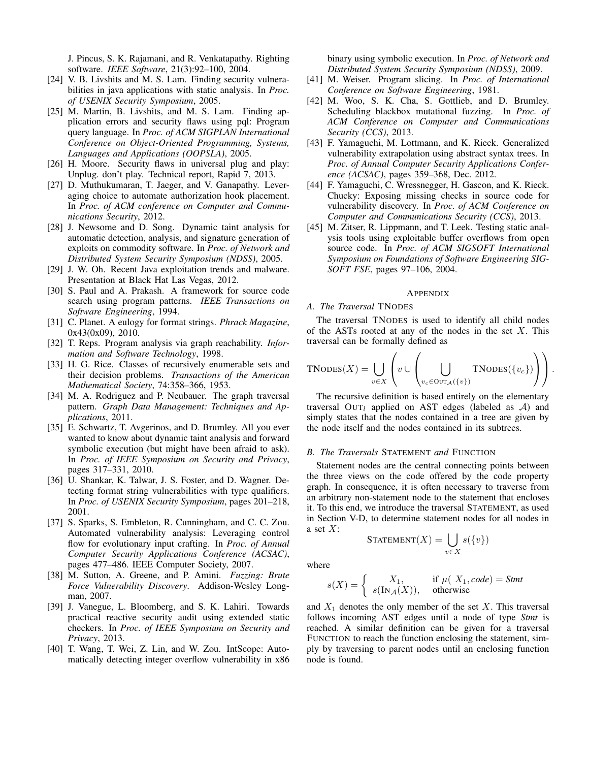J. Pincus, S. K. Rajamani, and R. Venkatapathy. Righting software. *IEEE Software*, 21(3):92–100, 2004.

- [24] V. B. Livshits and M. S. Lam. Finding security vulnerabilities in java applications with static analysis. In *Proc. of USENIX Security Symposium*, 2005.
- [25] M. Martin, B. Livshits, and M. S. Lam. Finding application errors and security flaws using pql: Program query language. In *Proc. of ACM SIGPLAN International Conference on Object-Oriented Programming, Systems, Languages and Applications (OOPSLA)*, 2005.
- [26] H. Moore. Security flaws in universal plug and play: Unplug. don't play. Technical report, Rapid 7, 2013.
- [27] D. Muthukumaran, T. Jaeger, and V. Ganapathy. Leveraging choice to automate authorization hook placement. In *Proc. of ACM conference on Computer and Communications Security*, 2012.
- [28] J. Newsome and D. Song. Dynamic taint analysis for automatic detection, analysis, and signature generation of exploits on commodity software. In *Proc. of Network and Distributed System Security Symposium (NDSS)*, 2005.
- [29] J. W. Oh. Recent Java exploitation trends and malware. Presentation at Black Hat Las Vegas, 2012.
- [30] S. Paul and A. Prakash. A framework for source code search using program patterns. *IEEE Transactions on Software Engineering*, 1994.
- [31] C. Planet. A eulogy for format strings. *Phrack Magazine*, 0x43(0x09), 2010.
- [32] T. Reps. Program analysis via graph reachability. *Information and Software Technology*, 1998.
- [33] H. G. Rice. Classes of recursively enumerable sets and their decision problems. *Transactions of the American Mathematical Society*, 74:358–366, 1953.
- [34] M. A. Rodriguez and P. Neubauer. The graph traversal pattern. *Graph Data Management: Techniques and Applications*, 2011.
- [35] E. Schwartz, T. Avgerinos, and D. Brumley. All you ever wanted to know about dynamic taint analysis and forward symbolic execution (but might have been afraid to ask). In *Proc. of IEEE Symposium on Security and Privacy*, pages 317–331, 2010.
- [36] U. Shankar, K. Talwar, J. S. Foster, and D. Wagner. Detecting format string vulnerabilities with type qualifiers. In *Proc. of USENIX Security Symposium*, pages 201–218, 2001.
- [37] S. Sparks, S. Embleton, R. Cunningham, and C. C. Zou. Automated vulnerability analysis: Leveraging control flow for evolutionary input crafting. In *Proc. of Annual Computer Security Applications Conference (ACSAC)*, pages 477–486. IEEE Computer Society, 2007.
- [38] M. Sutton, A. Greene, and P. Amini. *Fuzzing: Brute Force Vulnerability Discovery*. Addison-Wesley Longman, 2007.
- [39] J. Vanegue, L. Bloomberg, and S. K. Lahiri. Towards practical reactive security audit using extended static checkers. In *Proc. of IEEE Symposium on Security and Privacy*, 2013.
- [40] T. Wang, T. Wei, Z. Lin, and W. Zou. IntScope: Automatically detecting integer overflow vulnerability in x86

binary using symbolic execution. In *Proc. of Network and Distributed System Security Symposium (NDSS)*, 2009.

- [41] M. Weiser. Program slicing. In *Proc. of International Conference on Software Engineering*, 1981.
- [42] M. Woo, S. K. Cha, S. Gottlieb, and D. Brumley. Scheduling blackbox mutational fuzzing. In *Proc. of ACM Conference on Computer and Communications Security (CCS)*, 2013.
- [43] F. Yamaguchi, M. Lottmann, and K. Rieck. Generalized vulnerability extrapolation using abstract syntax trees. In *Proc. of Annual Computer Security Applications Conference (ACSAC)*, pages 359–368, Dec. 2012.
- [44] F. Yamaguchi, C. Wressnegger, H. Gascon, and K. Rieck. Chucky: Exposing missing checks in source code for vulnerability discovery. In *Proc. of ACM Conference on Computer and Communications Security (CCS)*, 2013.
- [45] M. Zitser, R. Lippmann, and T. Leek. Testing static analysis tools using exploitable buffer overflows from open source code. In *Proc. of ACM SIGSOFT International Symposium on Foundations of Software Engineering SIG-SOFT FSE*, pages 97–106, 2004.

#### APPENDIX

## *A. The Traversal* TNODES

The traversal TNODES is used to identify all child nodes of the ASTs rooted at any of the nodes in the set  $X$ . This traversal can be formally defined as

$$
\text{TNODES}(X) = \bigcup_{v \in X} \left( v \cup \left( \bigcup_{v_c \in \text{OUT}_{\mathcal{A}}(\{v\})} \text{TNODES}(\{v_c\}) \right) \right).
$$

The recursive definition is based entirely on the elementary traversal  $OUT_l$  applied on AST edges (labeled as  $A$ ) and simply states that the nodes contained in a tree are given by the node itself and the nodes contained in its subtrees.

#### *B. The Traversals* STATEMENT *and* FUNCTION

Statement nodes are the central connecting points between the three views on the code offered by the code property graph. In consequence, it is often necessary to traverse from an arbitrary non-statement node to the statement that encloses it. To this end, we introduce the traversal STATEMENT, as used in Section V-D, to determine statement nodes for all nodes in a set  $X$ :

STATEMENT(X) = 
$$
\bigcup_{v \in X} s({v})
$$

where

$$
s(X) = \begin{cases} X_1, & \text{if } \mu(X_1, code) = \text{Strut} \\ s(\text{IN}_{\mathcal{A}}(X)), & \text{otherwise} \end{cases}
$$

and  $X_1$  denotes the only member of the set X. This traversal follows incoming AST edges until a node of type *Stmt* is reached. A similar definition can be given for a traversal FUNCTION to reach the function enclosing the statement, simply by traversing to parent nodes until an enclosing function node is found.